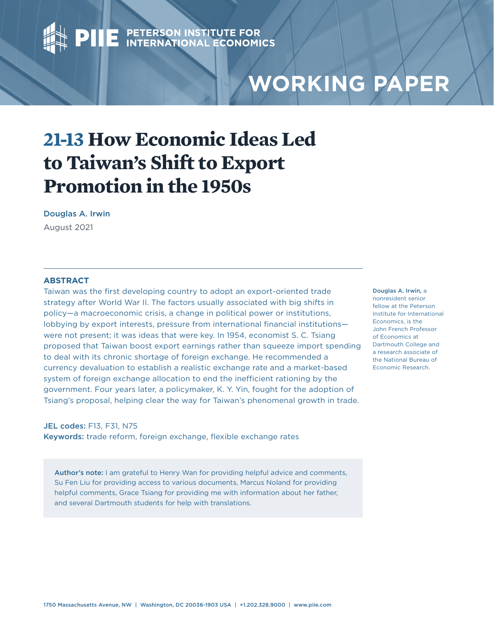# **PIIE** PETERSON INSTITUTE FOR

## **WORKING PAPER**

### **21-13 How Economic Ideas Led to Taiwan's Shift to Export Promotion in the 1950s**

#### Douglas A. Irwin

August 2021

#### **ABSTRACT**

Taiwan was the first developing country to adopt an export-oriented trade strategy after World War II. The factors usually associated with big shifts in policy—a macroeconomic crisis, a change in political power or institutions, lobbying by export interests, pressure from international financial institutions were not present; it was ideas that were key. In 1954, economist S. C. Tsiang proposed that Taiwan boost export earnings rather than squeeze import spending to deal with its chronic shortage of foreign exchange. He recommended a currency devaluation to establish a realistic exchange rate and a market-based system of foreign exchange allocation to end the inefficient rationing by the government. Four years later, a policymaker, K. Y. Yin, fought for the adoption of Tsiang's proposal, helping clear the way for Taiwan's phenomenal growth in trade.

#### JEL codes: F13, F31, N75

Keywords: trade reform, foreign exchange, flexible exchange rates

Author's note: I am grateful to Henry Wan for providing helpful advice and comments, Su Fen Liu for providing access to various documents, Marcus Noland for providing helpful comments, Grace Tsiang for providing me with information about her father, and several Dartmouth students for help with translations.

[Douglas A. Irwin,](https://www.piie.com/experts/senior-research-staff/douglas-irwin) a nonresident senior fellow at the Peterson Institute for International Economics, is the John French Professor of Economics at Dartmouth College and a research associate of the National Bureau of Economic Research.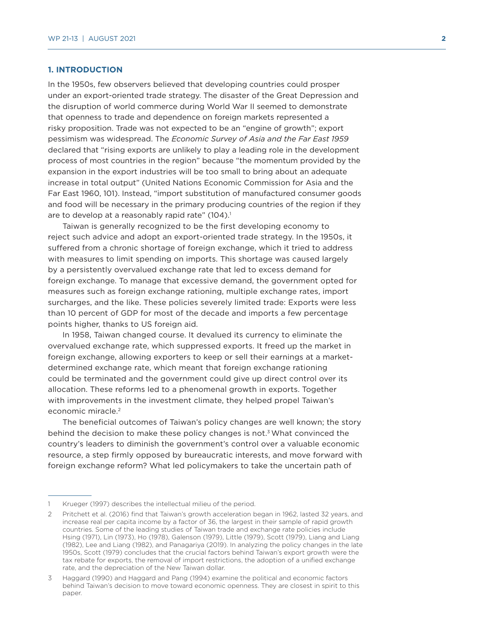#### **1. INTRODUCTION**

In the 1950s, few observers believed that developing countries could prosper under an export-oriented trade strategy. The disaster of the Great Depression and the disruption of world commerce during World War II seemed to demonstrate that openness to trade and dependence on foreign markets represented a risky proposition. Trade was not expected to be an "engine of growth"; export pessimism was widespread. The *Economic Survey of Asia and the Far East 1959* declared that "rising exports are unlikely to play a leading role in the development process of most countries in the region" because "the momentum provided by the expansion in the export industries will be too small to bring about an adequate increase in total output" (United Nations Economic Commission for Asia and the Far East 1960, 101). Instead, "import substitution of manufactured consumer goods and food will be necessary in the primary producing countries of the region if they are to develop at a reasonably rapid rate" (104).<sup>1</sup>

Taiwan is generally recognized to be the first developing economy to reject such advice and adopt an export-oriented trade strategy. In the 1950s, it suffered from a chronic shortage of foreign exchange, which it tried to address with measures to limit spending on imports. This shortage was caused largely by a persistently overvalued exchange rate that led to excess demand for foreign exchange. To manage that excessive demand, the government opted for measures such as foreign exchange rationing, multiple exchange rates, import surcharges, and the like. These policies severely limited trade: Exports were less than 10 percent of GDP for most of the decade and imports a few percentage points higher, thanks to US foreign aid.

In 1958, Taiwan changed course. It devalued its currency to eliminate the overvalued exchange rate, which suppressed exports. It freed up the market in foreign exchange, allowing exporters to keep or sell their earnings at a marketdetermined exchange rate, which meant that foreign exchange rationing could be terminated and the government could give up direct control over its allocation. These reforms led to a phenomenal growth in exports. Together with improvements in the investment climate, they helped propel Taiwan's economic miracle.<sup>2</sup>

The beneficial outcomes of Taiwan's policy changes are well known; the story behind the decision to make these policy changes is not. $3$  What convinced the country's leaders to diminish the government's control over a valuable economic resource, a step firmly opposed by bureaucratic interests, and move forward with foreign exchange reform? What led policymakers to take the uncertain path of

<sup>1</sup> Krueger (1997) describes the intellectual milieu of the period.

<sup>2</sup> Pritchett et al. (2016) find that Taiwan's growth acceleration began in 1962, lasted 32 years, and increase real per capita income by a factor of 36, the largest in their sample of rapid growth countries. Some of the leading studies of Taiwan trade and exchange rate policies include Hsing (1971), Lin (1973), Ho (1978), Galenson (1979), Little (1979), Scott (1979), Liang and Liang (1982), Lee and Liang (1982), and Panagariya (2019). In analyzing the policy changes in the late 1950s, Scott (1979) concludes that the crucial factors behind Taiwan's export growth were the tax rebate for exports, the removal of import restrictions, the adoption of a unified exchange rate, and the depreciation of the New Taiwan dollar.

<sup>3</sup> Haggard (1990) and Haggard and Pang (1994) examine the political and economic factors behind Taiwan's decision to move toward economic openness. They are closest in spirit to this paper.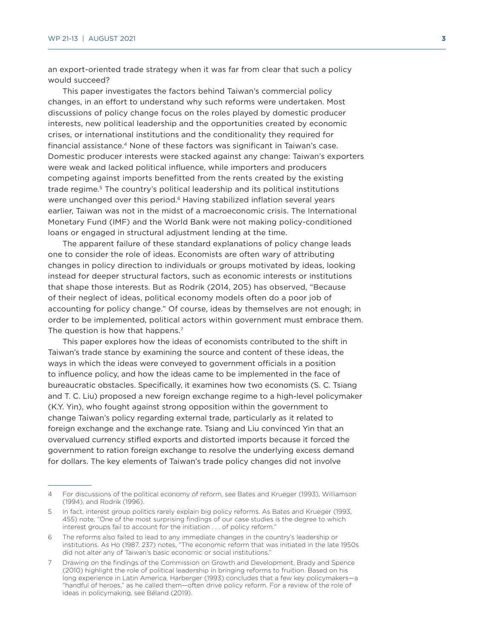an export-oriented trade strategy when it was far from clear that such a policy would succeed?

This paper investigates the factors behind Taiwan's commercial policy changes, in an effort to understand why such reforms were undertaken. Most discussions of policy change focus on the roles played by domestic producer interests, new political leadership and the opportunities created by economic crises, or international institutions and the conditionality they required for financial assistance.4 None of these factors was significant in Taiwan's case. Domestic producer interests were stacked against any change: Taiwan's exporters were weak and lacked political influence, while importers and producers competing against imports benefitted from the rents created by the existing trade regime.5 The country's political leadership and its political institutions were unchanged over this period.<sup>6</sup> Having stabilized inflation several years earlier, Taiwan was not in the midst of a macroeconomic crisis. The International Monetary Fund (IMF) and the World Bank were not making policy-conditioned loans or engaged in structural adjustment lending at the time.

The apparent failure of these standard explanations of policy change leads one to consider the role of ideas. Economists are often wary of attributing changes in policy direction to individuals or groups motivated by ideas, looking instead for deeper structural factors, such as economic interests or institutions that shape those interests. But as Rodrik (2014, 205) has observed, "Because of their neglect of ideas, political economy models often do a poor job of accounting for policy change." Of course, ideas by themselves are not enough; in order to be implemented, political actors within government must embrace them. The question is how that happens.<sup>7</sup>

This paper explores how the ideas of economists contributed to the shift in Taiwan's trade stance by examining the source and content of these ideas, the ways in which the ideas were conveyed to government officials in a position to influence policy, and how the ideas came to be implemented in the face of bureaucratic obstacles. Specifically, it examines how two economists (S. C. Tsiang and T. C. Liu) proposed a new foreign exchange regime to a high-level policymaker (K.Y. Yin), who fought against strong opposition within the government to change Taiwan's policy regarding external trade, particularly as it related to foreign exchange and the exchange rate. Tsiang and Liu convinced Yin that an overvalued currency stifled exports and distorted imports because it forced the government to ration foreign exchange to resolve the underlying excess demand for dollars. The key elements of Taiwan's trade policy changes did not involve

<sup>4</sup> For discussions of the political economy of reform, see Bates and Krueger (1993), Williamson (1994), and Rodrik (1996).

<sup>5</sup> In fact, interest group politics rarely explain big policy reforms. As Bates and Krueger (1993, 455) note, "One of the most surprising findings of our case studies is the degree to which interest groups fail to account for the initiation . . . of policy reform."

<sup>6</sup> The reforms also failed to lead to any immediate changes in the country's leadership or institutions. As Ho (1987, 237) notes, "The economic reform that was initiated in the late 1950s did not alter any of Taiwan's basic economic or social institutions."

<sup>7</sup> Drawing on the findings of the Commission on Growth and Development, Brady and Spence (2010) highlight the role of political leadership in bringing reforms to fruition. Based on his long experience in Latin America, Harberger (1993) concludes that a few key policymakers—a "handful of heroes," as he called them—often drive policy reform. For a review of the role of ideas in policymaking, see Béland (2019).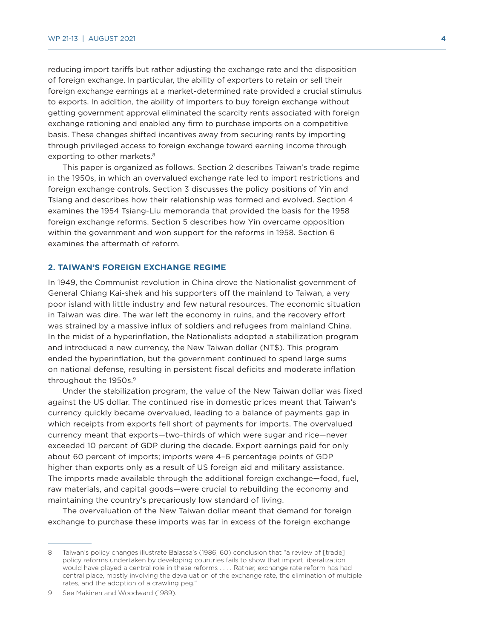reducing import tariffs but rather adjusting the exchange rate and the disposition of foreign exchange. In particular, the ability of exporters to retain or sell their foreign exchange earnings at a market-determined rate provided a crucial stimulus to exports. In addition, the ability of importers to buy foreign exchange without getting government approval eliminated the scarcity rents associated with foreign exchange rationing and enabled any firm to purchase imports on a competitive basis. These changes shifted incentives away from securing rents by importing through privileged access to foreign exchange toward earning income through exporting to other markets.<sup>8</sup>

This paper is organized as follows. Section 2 describes Taiwan's trade regime in the 1950s, in which an overvalued exchange rate led to import restrictions and foreign exchange controls. Section 3 discusses the policy positions of Yin and Tsiang and describes how their relationship was formed and evolved. Section 4 examines the 1954 Tsiang-Liu memoranda that provided the basis for the 1958 foreign exchange reforms. Section 5 describes how Yin overcame opposition within the government and won support for the reforms in 1958. Section 6 examines the aftermath of reform.

#### **2. TAIWAN'S FOREIGN EXCHANGE REGIME**

In 1949, the Communist revolution in China drove the Nationalist government of General Chiang Kai-shek and his supporters off the mainland to Taiwan, a very poor island with little industry and few natural resources. The economic situation in Taiwan was dire. The war left the economy in ruins, and the recovery effort was strained by a massive influx of soldiers and refugees from mainland China. In the midst of a hyperinflation, the Nationalists adopted a stabilization program and introduced a new currency, the New Taiwan dollar (NT\$). This program ended the hyperinflation, but the government continued to spend large sums on national defense, resulting in persistent fiscal deficits and moderate inflation throughout the 1950s.<sup>9</sup>

Under the stabilization program, the value of the New Taiwan dollar was fixed against the US dollar. The continued rise in domestic prices meant that Taiwan's currency quickly became overvalued, leading to a balance of payments gap in which receipts from exports fell short of payments for imports. The overvalued currency meant that exports—two-thirds of which were sugar and rice—never exceeded 10 percent of GDP during the decade. Export earnings paid for only about 60 percent of imports; imports were 4–6 percentage points of GDP higher than exports only as a result of US foreign aid and military assistance. The imports made available through the additional foreign exchange—food, fuel, raw materials, and capital goods—were crucial to rebuilding the economy and maintaining the country's precariously low standard of living.

The overvaluation of the New Taiwan dollar meant that demand for foreign exchange to purchase these imports was far in excess of the foreign exchange

<sup>8</sup> Taiwan's policy changes illustrate Balassa's (1986, 60) conclusion that "a review of [trade] policy reforms undertaken by developing countries fails to show that import liberalization would have played a central role in these reforms . . . . Rather, exchange rate reform has had central place, mostly involving the devaluation of the exchange rate, the elimination of multiple rates, and the adoption of a crawling peg."

<sup>9</sup> See Makinen and Woodward (1989).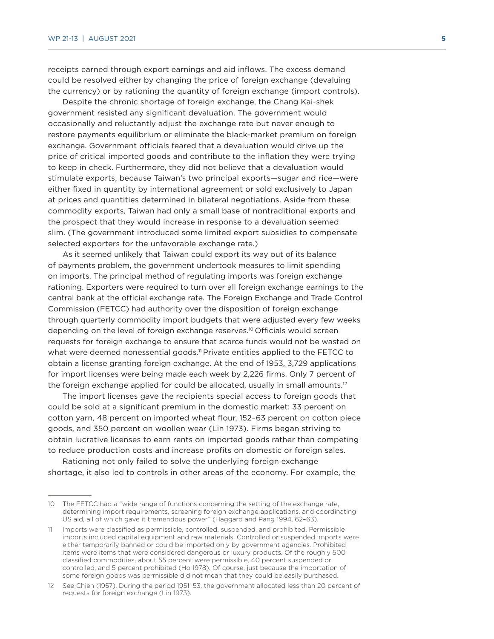receipts earned through export earnings and aid inflows. The excess demand could be resolved either by changing the price of foreign exchange (devaluing the currency) or by rationing the quantity of foreign exchange (import controls).

Despite the chronic shortage of foreign exchange, the Chang Kai-shek government resisted any significant devaluation. The government would occasionally and reluctantly adjust the exchange rate but never enough to restore payments equilibrium or eliminate the black-market premium on foreign exchange. Government officials feared that a devaluation would drive up the price of critical imported goods and contribute to the inflation they were trying to keep in check. Furthermore, they did not believe that a devaluation would stimulate exports, because Taiwan's two principal exports—sugar and rice—were either fixed in quantity by international agreement or sold exclusively to Japan at prices and quantities determined in bilateral negotiations. Aside from these commodity exports, Taiwan had only a small base of nontraditional exports and the prospect that they would increase in response to a devaluation seemed slim. (The government introduced some limited export subsidies to compensate selected exporters for the unfavorable exchange rate.)

As it seemed unlikely that Taiwan could export its way out of its balance of payments problem, the government undertook measures to limit spending on imports. The principal method of regulating imports was foreign exchange rationing. Exporters were required to turn over all foreign exchange earnings to the central bank at the official exchange rate. The Foreign Exchange and Trade Control Commission (FETCC) had authority over the disposition of foreign exchange through quarterly commodity import budgets that were adjusted every few weeks depending on the level of foreign exchange reserves.10 Officials would screen requests for foreign exchange to ensure that scarce funds would not be wasted on what were deemed nonessential goods.<sup>11</sup> Private entities applied to the FETCC to obtain a license granting foreign exchange. At the end of 1953, 3,729 applications for import licenses were being made each week by 2,226 firms. Only 7 percent of the foreign exchange applied for could be allocated, usually in small amounts.<sup>12</sup>

The import licenses gave the recipients special access to foreign goods that could be sold at a significant premium in the domestic market: 33 percent on cotton yarn, 48 percent on imported wheat flour, 152–63 percent on cotton piece goods, and 350 percent on woollen wear (Lin 1973). Firms began striving to obtain lucrative licenses to earn rents on imported goods rather than competing to reduce production costs and increase profits on domestic or foreign sales.

Rationing not only failed to solve the underlying foreign exchange shortage, it also led to controls in other areas of the economy. For example, the

<sup>10</sup> The FETCC had a "wide range of functions concerning the setting of the exchange rate, determining import requirements, screening foreign exchange applications, and coordinating US aid, all of which gave it tremendous power" (Haggard and Pang 1994, 62–63).

<sup>11</sup> Imports were classified as permissible, controlled, suspended, and prohibited. Permissible imports included capital equipment and raw materials. Controlled or suspended imports were either temporarily banned or could be imported only by government agencies. Prohibited items were items that were considered dangerous or luxury products. Of the roughly 500 classified commodities, about 55 percent were permissible, 40 percent suspended or controlled, and 5 percent prohibited (Ho 1978). Of course, just because the importation of some foreign goods was permissible did not mean that they could be easily purchased.

<sup>12</sup> See Chien (1957). During the period 1951–53, the government allocated less than 20 percent of requests for foreign exchange (Lin 1973).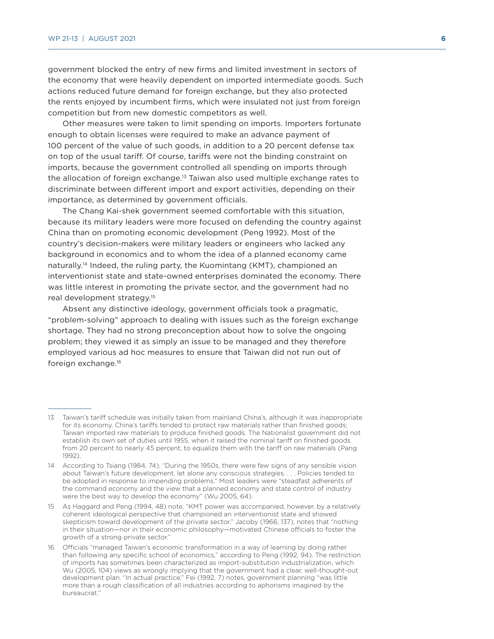government blocked the entry of new firms and limited investment in sectors of the economy that were heavily dependent on imported intermediate goods. Such actions reduced future demand for foreign exchange, but they also protected the rents enjoyed by incumbent firms, which were insulated not just from foreign competition but from new domestic competitors as well.

Other measures were taken to limit spending on imports. Importers fortunate enough to obtain licenses were required to make an advance payment of 100 percent of the value of such goods, in addition to a 20 percent defense tax on top of the usual tariff. Of course, tariffs were not the binding constraint on imports, because the government controlled all spending on imports through the allocation of foreign exchange.13 Taiwan also used multiple exchange rates to discriminate between different import and export activities, depending on their importance, as determined by government officials.

The Chang Kai-shek government seemed comfortable with this situation, because its military leaders were more focused on defending the country against China than on promoting economic development (Peng 1992). Most of the country's decision-makers were military leaders or engineers who lacked any background in economics and to whom the idea of a planned economy came naturally.<sup>14</sup> Indeed, the ruling party, the Kuomintang (KMT), championed an interventionist state and state-owned enterprises dominated the economy. There was little interest in promoting the private sector, and the government had no real development strategy.15

Absent any distinctive ideology, government officials took a pragmatic, "problem-solving" approach to dealing with issues such as the foreign exchange shortage. They had no strong preconception about how to solve the ongoing problem; they viewed it as simply an issue to be managed and they therefore employed various ad hoc measures to ensure that Taiwan did not run out of foreign exchange.16

<sup>13</sup> Taiwan's tariff schedule was initially taken from mainland China's, although it was inappropriate for its economy. China's tariffs tended to protect raw materials rather than finished goods; Taiwan imported raw materials to produce finished goods. The Nationalist government did not establish its own set of duties until 1955, when it raised the nominal tariff on finished goods from 20 percent to nearly 45 percent, to equalize them with the tariff on raw materials (Pang 1992).

<sup>14</sup> According to Tsiang (1984, 74), "During the 1950s, there were few signs of any sensible vision about Taiwan's future development, let alone any conscious strategies. . . . Policies tended to be adopted in response to impending problems." Most leaders were "steadfast adherents of the command economy and the view that a planned economy and state control of industry were the best way to develop the economy" (Wu 2005, 64).

<sup>15</sup> As Haggard and Peng (1994, 48) note, "KMT power was accompanied, however, by a relatively coherent ideological perspective that championed an interventionist state and showed skepticism toward development of the private sector." Jacoby (1966, 137), notes that "nothing in their situation—nor in their economic philosophy—motivated Chinese officials to foster the growth of a strong private sector."

<sup>16</sup> Officials "managed Taiwan's economic transformation in a way of learning by doing rather than following any specific school of economics," according to Peng (1992, 94). The restriction of imports has sometimes been characterized as import-substitution industrialization, which Wu (2005, 104) views as wrongly implying that the government had a clear, well-thought-out development plan. "In actual practice," Fei (1992, 7) notes, government planning "was little more than a rough classification of all industries according to aphorisms imagined by the bureaucrat."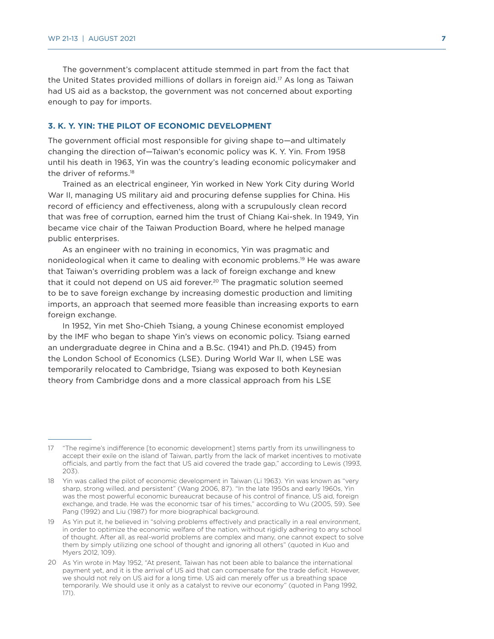The government's complacent attitude stemmed in part from the fact that the United States provided millions of dollars in foreign aid.<sup>17</sup> As long as Taiwan had US aid as a backstop, the government was not concerned about exporting enough to pay for imports.

#### **3. K. Y. YIN: THE PILOT OF ECONOMIC DEVELOPMENT**

The government official most responsible for giving shape to—and ultimately changing the direction of—Taiwan's economic policy was K. Y. Yin. From 1958 until his death in 1963, Yin was the country's leading economic policymaker and the driver of reforms.18

Trained as an electrical engineer, Yin worked in New York City during World War II, managing US military aid and procuring defense supplies for China. His record of efficiency and effectiveness, along with a scrupulously clean record that was free of corruption, earned him the trust of Chiang Kai-shek. In 1949, Yin became vice chair of the Taiwan Production Board, where he helped manage public enterprises.

As an engineer with no training in economics, Yin was pragmatic and nonideological when it came to dealing with economic problems.19 He was aware that Taiwan's overriding problem was a lack of foreign exchange and knew that it could not depend on US aid forever.<sup>20</sup> The pragmatic solution seemed to be to save foreign exchange by increasing domestic production and limiting imports, an approach that seemed more feasible than increasing exports to earn foreign exchange.

In 1952, Yin met Sho-Chieh Tsiang, a young Chinese economist employed by the IMF who began to shape Yin's views on economic policy. Tsiang earned an undergraduate degree in China and a B.Sc. (1941) and Ph.D. (1945) from the London School of Economics (LSE). During World War II, when LSE was temporarily relocated to Cambridge, Tsiang was exposed to both Keynesian theory from Cambridge dons and a more classical approach from his LSE

<sup>17</sup> "The regime's indifference [to economic development] stems partly from its unwillingness to accept their exile on the island of Taiwan, partly from the lack of market incentives to motivate officials, and partly from the fact that US aid covered the trade gap," according to Lewis (1993, 203).

<sup>18</sup> Yin was called the pilot of economic development in Taiwan (Li 1963). Yin was known as "very sharp, strong willed, and persistent" (Wang 2006, 87). "In the late 1950s and early 1960s, Yin was the most powerful economic bureaucrat because of his control of finance, US aid, foreign exchange, and trade. He was the economic tsar of his times," according to Wu (2005, 59). See Pang (1992) and Liu (1987) for more biographical background.

<sup>19</sup> As Yin put it, he believed in "solving problems effectively and practically in a real environment, in order to optimize the economic welfare of the nation, without rigidly adhering to any school of thought. After all, as real-world problems are complex and many, one cannot expect to solve them by simply utilizing one school of thought and ignoring all others" (quoted in Kuo and Myers 2012, 109).

<sup>20</sup> As Yin wrote in May 1952, "At present, Taiwan has not been able to balance the international payment yet, and it is the arrival of US aid that can compensate for the trade deficit. However, we should not rely on US aid for a long time. US aid can merely offer us a breathing space temporarily. We should use it only as a catalyst to revive our economy" (quoted in Pang 1992, 171).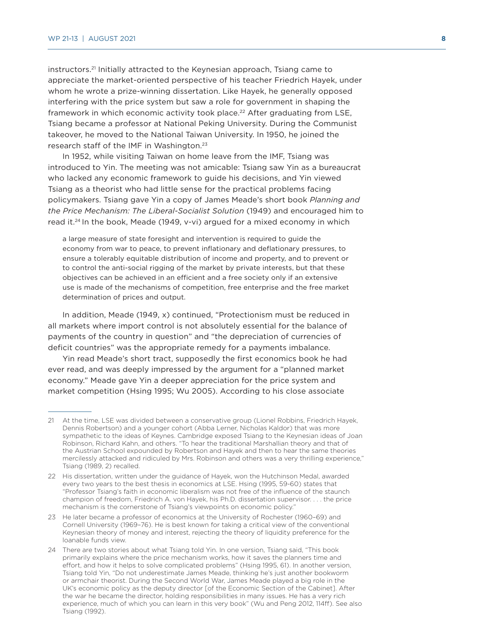instructors.21 Initially attracted to the Keynesian approach, Tsiang came to appreciate the market-oriented perspective of his teacher Friedrich Hayek, under whom he wrote a prize-winning dissertation. Like Hayek, he generally opposed interfering with the price system but saw a role for government in shaping the framework in which economic activity took place.<sup>22</sup> After graduating from LSE, Tsiang became a professor at National Peking University. During the Communist takeover, he moved to the National Taiwan University. In 1950, he joined the research staff of the IMF in Washington.<sup>23</sup>

In 1952, while visiting Taiwan on home leave from the IMF, Tsiang was introduced to Yin. The meeting was not amicable: Tsiang saw Yin as a bureaucrat who lacked any economic framework to guide his decisions, and Yin viewed Tsiang as a theorist who had little sense for the practical problems facing policymakers. Tsiang gave Yin a copy of James Meade's short book *Planning and the Price Mechanism: The Liberal-Socialist Solution* (1949) and encouraged him to read it.24 In the book, Meade (1949, v-vi) argued for a mixed economy in which

a large measure of state foresight and intervention is required to guide the economy from war to peace, to prevent inflationary and deflationary pressures, to ensure a tolerably equitable distribution of income and property, and to prevent or to control the anti-social rigging of the market by private interests, but that these objectives can be achieved in an efficient and a free society only if an extensive use is made of the mechanisms of competition, free enterprise and the free market determination of prices and output.

In addition, Meade (1949, x) continued, "Protectionism must be reduced in all markets where import control is not absolutely essential for the balance of payments of the country in question" and "the depreciation of currencies of deficit countries" was the appropriate remedy for a payments imbalance.

Yin read Meade's short tract, supposedly the first economics book he had ever read, and was deeply impressed by the argument for a "planned market economy." Meade gave Yin a deeper appreciation for the price system and market competition (Hsing 1995; Wu 2005). According to his close associate

<sup>21</sup> At the time, LSE was divided between a conservative group (Lionel Robbins, Friedrich Hayek, Dennis Robertson) and a younger cohort (Abba Lerner, Nicholas Kaldor) that was more sympathetic to the ideas of Keynes. Cambridge exposed Tsiang to the Keynesian ideas of Joan Robinson, Richard Kahn, and others. "To hear the traditional Marshallian theory and that of the Austrian School expounded by Robertson and Hayek and then to hear the same theories mercilessly attacked and ridiculed by Mrs. Robinson and others was a very thrilling experience," Tsiang (1989, 2) recalled.

<sup>22</sup> His dissertation, written under the guidance of Hayek, won the Hutchinson Medal, awarded every two years to the best thesis in economics at LSE. Hsing (1995, 59-60) states that "Professor Tsiang's faith in economic liberalism was not free of the influence of the staunch champion of freedom, Friedrich A. von Hayek, his Ph.D. dissertation supervisor. . . . the price mechanism is the cornerstone of Tsiang's viewpoints on economic policy."

<sup>23</sup> He later became a professor of economics at the University of Rochester (1960–69) and Cornell University (1969–76). He is best known for taking a critical view of the conventional Keynesian theory of money and interest, rejecting the theory of liquidity preference for the loanable funds view.

<sup>24</sup> There are two stories about what Tsiang told Yin. In one version, Tsiang said, "This book primarily explains where the price mechanism works, how it saves the planners time and effort, and how it helps to solve complicated problems" (Hsing 1995, 61). In another version, Tsiang told Yin, "Do not underestimate James Meade, thinking he's just another bookworm or armchair theorist. During the Second World War, James Meade played a big role in the UK's economic policy as the deputy director [of the Economic Section of the Cabinet]. After the war he became the director, holding responsibilities in many issues. He has a very rich experience, much of which you can learn in this very book" (Wu and Peng 2012, 114ff). See also Tsiang (1992).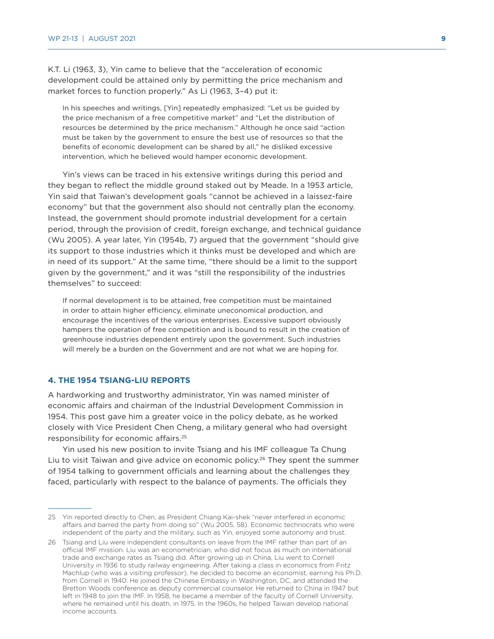K.T. Li (1963, 3), Yin came to believe that the "acceleration of economic development could be attained only by permitting the price mechanism and market forces to function properly." As Li (1963, 3–4) put it:

In his speeches and writings, [Yin] repeatedly emphasized: "Let us be guided by the price mechanism of a free competitive market" and "Let the distribution of resources be determined by the price mechanism." Although he once said "action must be taken by the government to ensure the best use of resources so that the benefits of economic development can be shared by all," he disliked excessive intervention, which he believed would hamper economic development.

Yin's views can be traced in his extensive writings during this period and they began to reflect the middle ground staked out by Meade. In a 1953 article, Yin said that Taiwan's development goals "cannot be achieved in a laissez-faire economy" but that the government also should not centrally plan the economy. Instead, the government should promote industrial development for a certain period, through the provision of credit, foreign exchange, and technical guidance (Wu 2005). A year later, Yin (1954b, 7) argued that the government "should give its support to those industries which it thinks must be developed and which are in need of its support." At the same time, "there should be a limit to the support given by the government," and it was "still the responsibility of the industries themselves" to succeed:

If normal development is to be attained, free competition must be maintained in order to attain higher efficiency, eliminate uneconomical production, and encourage the incentives of the various enterprises. Excessive support obviously hampers the operation of free competition and is bound to result in the creation of greenhouse industries dependent entirely upon the government. Such industries will merely be a burden on the Government and are not what we are hoping for.

#### **4. THE 1954 TSIANG-LIU REPORTS**

A hardworking and trustworthy administrator, Yin was named minister of economic affairs and chairman of the Industrial Development Commission in 1954. This post gave him a greater voice in the policy debate, as he worked closely with Vice President Chen Cheng, a military general who had oversight responsibility for economic affairs.25

Yin used his new position to invite Tsiang and his IMF colleague Ta Chung Liu to visit Taiwan and give advice on economic policy.<sup>26</sup> They spent the summer of 1954 talking to government officials and learning about the challenges they faced, particularly with respect to the balance of payments. The officials they

<sup>25</sup> Yin reported directly to Chen, as President Chiang Kai-shek "never interfered in economic affairs and barred the party from doing so" (Wu 2005, 58). Economic technocrats who were independent of the party and the military, such as Yin, enjoyed some autonomy and trust.

<sup>26</sup> Tsiang and Liu were independent consultants on leave from the IMF rather than part of an official IMF mission. Liu was an econometrician, who did not focus as much on international trade and exchange rates as Tsiang did. After growing up in China, Liu went to Cornell University in 1936 to study railway engineering. After taking a class in economics from Fritz Machlup (who was a visiting professor), he decided to become an economist, earning his Ph.D. from Cornell in 1940. He joined the Chinese Embassy in Washington, DC, and attended the Bretton Woods conference as deputy commercial counselor. He returned to China in 1947 but left in 1948 to join the IMF. In 1958, he became a member of the faculty of Cornell University, where he remained until his death, in 1975. In the 1960s, he helped Taiwan develop national income accounts.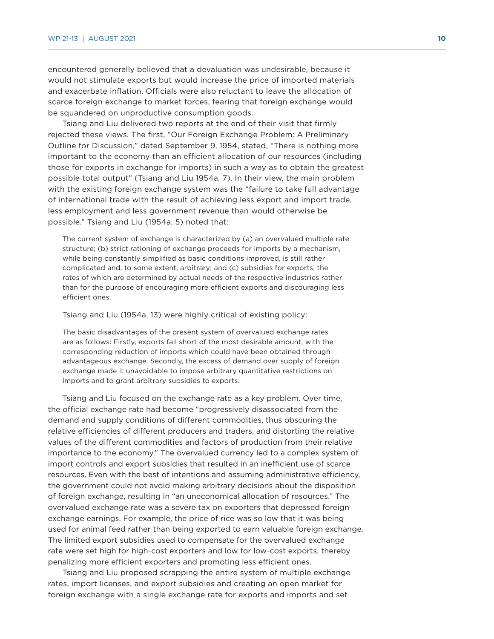encountered generally believed that a devaluation was undesirable, because it would not stimulate exports but would increase the price of imported materials and exacerbate inflation. Officials were also reluctant to leave the allocation of scarce foreign exchange to market forces, fearing that foreign exchange would be squandered on unproductive consumption goods.

Tsiang and Liu delivered two reports at the end of their visit that firmly rejected these views. The first, "Our Foreign Exchange Problem: A Preliminary Outline for Discussion," dated September 9, 1954, stated, "There is nothing more important to the economy than an efficient allocation of our resources (including those for exports in exchange for imports) in such a way as to obtain the greatest possible total output" (Tsiang and Liu 1954a, 7). In their view, the main problem with the existing foreign exchange system was the "failure to take full advantage of international trade with the result of achieving less export and import trade, less employment and less government revenue than would otherwise be possible." Tsiang and Liu (1954a, 5) noted that:

The current system of exchange is characterized by (a) an overvalued multiple rate structure; (b) strict rationing of exchange proceeds for imports by a mechanism, while being constantly simplified as basic conditions improved, is still rather complicated and, to some extent, arbitrary; and (c) subsidies for exports, the rates of which are determined by actual needs of the respective industries rather than for the purpose of encouraging more efficient exports and discouraging less efficient ones.

Tsiang and Liu (1954a, 13) were highly critical of existing policy:

The basic disadvantages of the present system of overvalued exchange rates are as follows: Firstly, exports fall short of the most desirable amount, with the corresponding reduction of imports which could have been obtained through advantageous exchange. Secondly, the excess of demand over supply of foreign exchange made it unavoidable to impose arbitrary quantitative restrictions on imports and to grant arbitrary subsidies to exports.

Tsiang and Liu focused on the exchange rate as a key problem. Over time, the official exchange rate had become "progressively disassociated from the demand and supply conditions of different commodities, thus obscuring the relative efficiencies of different producers and traders, and distorting the relative values of the different commodities and factors of production from their relative importance to the economy." The overvalued currency led to a complex system of import controls and export subsidies that resulted in an inefficient use of scarce resources. Even with the best of intentions and assuming administrative efficiency, the government could not avoid making arbitrary decisions about the disposition of foreign exchange, resulting in "an uneconomical allocation of resources." The overvalued exchange rate was a severe tax on exporters that depressed foreign exchange earnings. For example, the price of rice was so low that it was being used for animal feed rather than being exported to earn valuable foreign exchange. The limited export subsidies used to compensate for the overvalued exchange rate were set high for high-cost exporters and low for low-cost exports, thereby penalizing more efficient exporters and promoting less efficient ones.

Tsiang and Liu proposed scrapping the entire system of multiple exchange rates, import licenses, and export subsidies and creating an open market for foreign exchange with a single exchange rate for exports and imports and set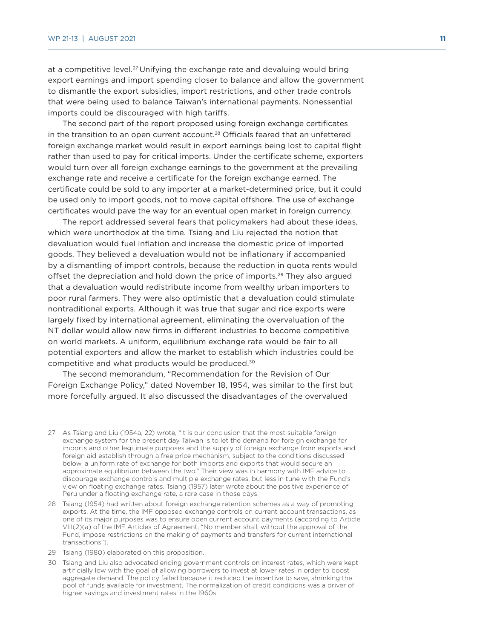at a competitive level.27 Unifying the exchange rate and devaluing would bring export earnings and import spending closer to balance and allow the government to dismantle the export subsidies, import restrictions, and other trade controls that were being used to balance Taiwan's international payments. Nonessential imports could be discouraged with high tariffs.

The second part of the report proposed using foreign exchange certificates in the transition to an open current account.28 Officials feared that an unfettered foreign exchange market would result in export earnings being lost to capital flight rather than used to pay for critical imports. Under the certificate scheme, exporters would turn over all foreign exchange earnings to the government at the prevailing exchange rate and receive a certificate for the foreign exchange earned. The certificate could be sold to any importer at a market-determined price, but it could be used only to import goods, not to move capital offshore. The use of exchange certificates would pave the way for an eventual open market in foreign currency.

The report addressed several fears that policymakers had about these ideas, which were unorthodox at the time. Tsiang and Liu rejected the notion that devaluation would fuel inflation and increase the domestic price of imported goods. They believed a devaluation would not be inflationary if accompanied by a dismantling of import controls, because the reduction in quota rents would offset the depreciation and hold down the price of imports.29 They also argued that a devaluation would redistribute income from wealthy urban importers to poor rural farmers. They were also optimistic that a devaluation could stimulate nontraditional exports. Although it was true that sugar and rice exports were largely fixed by international agreement, eliminating the overvaluation of the NT dollar would allow new firms in different industries to become competitive on world markets. A uniform, equilibrium exchange rate would be fair to all potential exporters and allow the market to establish which industries could be competitive and what products would be produced.30

The second memorandum, "Recommendation for the Revision of Our Foreign Exchange Policy," dated November 18, 1954, was similar to the first but more forcefully argued. It also discussed the disadvantages of the overvalued

<sup>27</sup> As Tsiang and Liu (1954a, 22) wrote, "It is our conclusion that the most suitable foreign exchange system for the present day Taiwan is to let the demand for foreign exchange for imports and other legitimate purposes and the supply of foreign exchange from exports and foreign aid establish through a free price mechanism, subject to the conditions discussed below, a uniform rate of exchange for both imports and exports that would secure an approximate equilibrium between the two." Their view was in harmony with IMF advice to discourage exchange controls and multiple exchange rates, but less in tune with the Fund's view on floating exchange rates. Tsiang (1957) later wrote about the positive experience of Peru under a floating exchange rate, a rare case in those days.

<sup>28</sup> Tsiang (1954) had written about foreign exchange retention schemes as a way of promoting exports. At the time, the IMF opposed exchange controls on current account transactions, as one of its major purposes was to ensure open current account payments (according to Article VIII(2)(a) of the IMF Articles of Agreement, "No member shall, without the approval of the Fund, impose restrictions on the making of payments and transfers for current international transactions").

<sup>29</sup> Tsiang (1980) elaborated on this proposition.

<sup>30</sup> Tsiang and Liu also advocated ending government controls on interest rates, which were kept artificially low with the goal of allowing borrowers to invest at lower rates in order to boost aggregate demand. The policy failed because it reduced the incentive to save, shrinking the pool of funds available for investment. The normalization of credit conditions was a driver of higher savings and investment rates in the 1960s.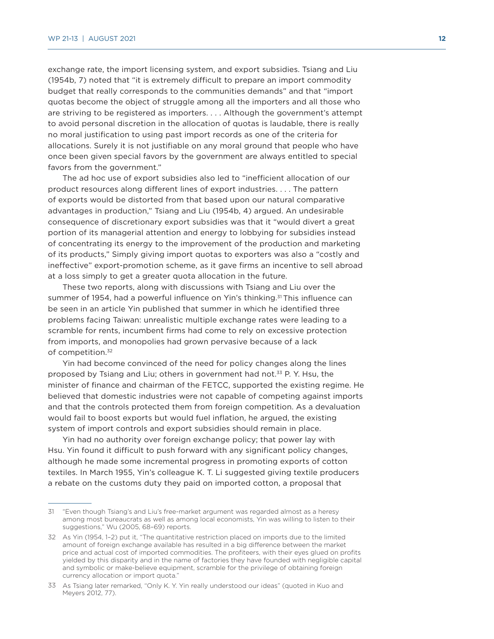exchange rate, the import licensing system, and export subsidies. Tsiang and Liu (1954b, 7) noted that "it is extremely difficult to prepare an import commodity budget that really corresponds to the communities demands" and that "import quotas become the object of struggle among all the importers and all those who are striving to be registered as importers. . . . Although the government's attempt to avoid personal discretion in the allocation of quotas is laudable, there is really no moral justification to using past import records as one of the criteria for allocations. Surely it is not justifiable on any moral ground that people who have once been given special favors by the government are always entitled to special favors from the government."

The ad hoc use of export subsidies also led to "inefficient allocation of our product resources along different lines of export industries. . . . The pattern of exports would be distorted from that based upon our natural comparative advantages in production," Tsiang and Liu (1954b, 4) argued. An undesirable consequence of discretionary export subsidies was that it "would divert a great portion of its managerial attention and energy to lobbying for subsidies instead of concentrating its energy to the improvement of the production and marketing of its products," Simply giving import quotas to exporters was also a "costly and ineffective" export-promotion scheme, as it gave firms an incentive to sell abroad at a loss simply to get a greater quota allocation in the future.

These two reports, along with discussions with Tsiang and Liu over the summer of 1954, had a powerful influence on Yin's thinking.<sup>31</sup> This influence can be seen in an article Yin published that summer in which he identified three problems facing Taiwan: unrealistic multiple exchange rates were leading to a scramble for rents, incumbent firms had come to rely on excessive protection from imports, and monopolies had grown pervasive because of a lack of competition.32

Yin had become convinced of the need for policy changes along the lines proposed by Tsiang and Liu; others in government had not.33 P. Y. Hsu, the minister of finance and chairman of the FETCC, supported the existing regime. He believed that domestic industries were not capable of competing against imports and that the controls protected them from foreign competition. As a devaluation would fail to boost exports but would fuel inflation, he argued, the existing system of import controls and export subsidies should remain in place.

Yin had no authority over foreign exchange policy; that power lay with Hsu. Yin found it difficult to push forward with any significant policy changes, although he made some incremental progress in promoting exports of cotton textiles. In March 1955, Yin's colleague K. T. Li suggested giving textile producers a rebate on the customs duty they paid on imported cotton, a proposal that

<sup>31</sup> "Even though Tsiang's and Liu's free-market argument was regarded almost as a heresy among most bureaucrats as well as among local economists, Yin was willing to listen to their suggestions," Wu (2005, 68–69) reports.

<sup>32</sup> As Yin (1954, 1–2) put it, "The quantitative restriction placed on imports due to the limited amount of foreign exchange available has resulted in a big difference between the market price and actual cost of imported commodities. The profiteers, with their eyes glued on profits yielded by this disparity and in the name of factories they have founded with negligible capital and symbolic or make-believe equipment, scramble for the privilege of obtaining foreign currency allocation or import quota."

<sup>33</sup> As Tsiang later remarked, "Only K. Y. Yin really understood our ideas" (quoted in Kuo and Meyers 2012, 77).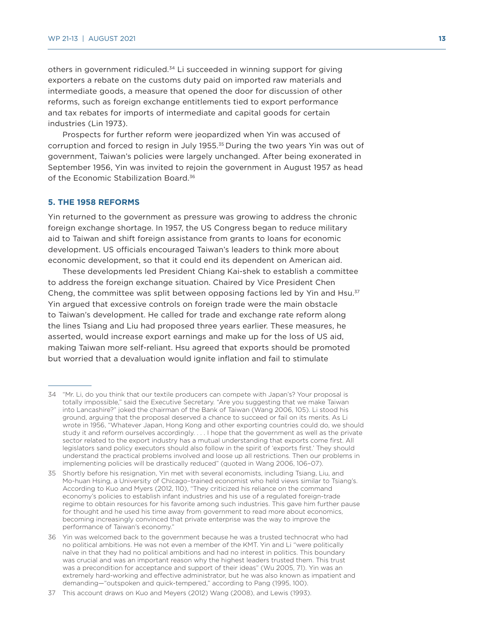others in government ridiculed.34 Li succeeded in winning support for giving exporters a rebate on the customs duty paid on imported raw materials and intermediate goods, a measure that opened the door for discussion of other reforms, such as foreign exchange entitlements tied to export performance and tax rebates for imports of intermediate and capital goods for certain industries (Lin 1973).

Prospects for further reform were jeopardized when Yin was accused of corruption and forced to resign in July 1955.35 During the two years Yin was out of government, Taiwan's policies were largely unchanged. After being exonerated in September 1956, Yin was invited to rejoin the government in August 1957 as head of the Economic Stabilization Board.<sup>36</sup>

#### **5. THE 1958 REFORMS**

Yin returned to the government as pressure was growing to address the chronic foreign exchange shortage. In 1957, the US Congress began to reduce military aid to Taiwan and shift foreign assistance from grants to loans for economic development. US officials encouraged Taiwan's leaders to think more about economic development, so that it could end its dependent on American aid.

These developments led President Chiang Kai-shek to establish a committee to address the foreign exchange situation. Chaired by Vice President Chen Cheng, the committee was split between opposing factions led by Yin and Hsu.<sup>37</sup> Yin argued that excessive controls on foreign trade were the main obstacle to Taiwan's development. He called for trade and exchange rate reform along the lines Tsiang and Liu had proposed three years earlier. These measures, he asserted, would increase export earnings and make up for the loss of US aid, making Taiwan more self-reliant. Hsu agreed that exports should be promoted but worried that a devaluation would ignite inflation and fail to stimulate

<sup>34</sup> "Mr. Li, do you think that our textile producers can compete with Japan's? Your proposal is totally impossible," said the Executive Secretary. "Are you suggesting that we make Taiwan into Lancashire?" joked the chairman of the Bank of Taiwan (Wang 2006, 105). Li stood his ground, arguing that the proposal deserved a chance to succeed or fail on its merits. As Li wrote in 1956, "Whatever Japan, Hong Kong and other exporting countries could do, we should study it and reform ourselves accordingly. . . . I hope that the government as well as the private sector related to the export industry has a mutual understanding that exports come first. All legislators sand policy executors should also follow in the spirit of 'exports first.' They should understand the practical problems involved and loose up all restrictions. Then our problems in implementing policies will be drastically reduced" (quoted in Wang 2006, 106–07).

<sup>35</sup> Shortly before his resignation, Yin met with several economists, including Tsiang, Liu, and Mo-huan Hsing, a University of Chicago–trained economist who held views similar to Tsiang's. According to Kuo and Myers (2012, 110), "They criticized his reliance on the command economy's policies to establish infant industries and his use of a regulated foreign-trade regime to obtain resources for his favorite among such industries. This gave him further pause for thought and he used his time away from government to read more about economics, becoming increasingly convinced that private enterprise was the way to improve the performance of Taiwan's economy."

<sup>36</sup> Yin was welcomed back to the government because he was a trusted technocrat who had no political ambitions. He was not even a member of the KMT. Yin and Li "were politically naïve in that they had no political ambitions and had no interest in politics. This boundary was crucial and was an important reason why the highest leaders trusted them. This trust was a precondition for acceptance and support of their ideas" (Wu 2005, 71). Yin was an extremely hard-working and effective administrator, but he was also known as impatient and demanding—"outspoken and quick-tempered," according to Pang (1995, 100).

<sup>37</sup> This account draws on Kuo and Meyers (2012) Wang (2008), and Lewis (1993).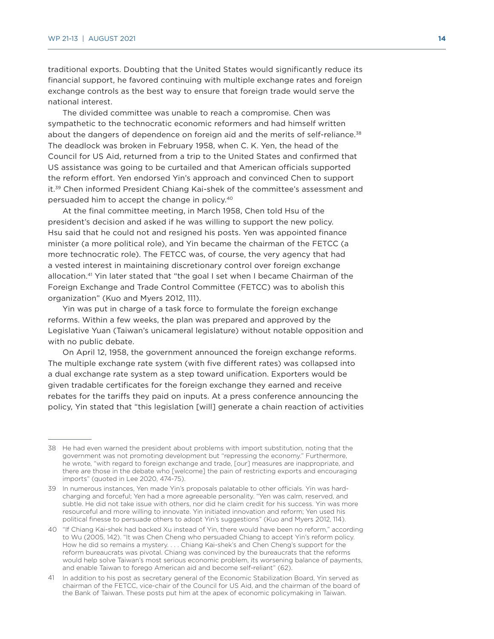traditional exports. Doubting that the United States would significantly reduce its financial support, he favored continuing with multiple exchange rates and foreign exchange controls as the best way to ensure that foreign trade would serve the national interest.

The divided committee was unable to reach a compromise. Chen was sympathetic to the technocratic economic reformers and had himself written about the dangers of dependence on foreign aid and the merits of self-reliance.<sup>38</sup> The deadlock was broken in February 1958, when C. K. Yen, the head of the Council for US Aid, returned from a trip to the United States and confirmed that US assistance was going to be curtailed and that American officials supported the reform effort. Yen endorsed Yin's approach and convinced Chen to support it.39 Chen informed President Chiang Kai-shek of the committee's assessment and persuaded him to accept the change in policy.40

At the final committee meeting, in March 1958, Chen told Hsu of the president's decision and asked if he was willing to support the new policy. Hsu said that he could not and resigned his posts. Yen was appointed finance minister (a more political role), and Yin became the chairman of the FETCC (a more technocratic role). The FETCC was, of course, the very agency that had a vested interest in maintaining discretionary control over foreign exchange allocation.41 Yin later stated that "the goal I set when I became Chairman of the Foreign Exchange and Trade Control Committee (FETCC) was to abolish this organization" (Kuo and Myers 2012, 111).

Yin was put in charge of a task force to formulate the foreign exchange reforms. Within a few weeks, the plan was prepared and approved by the Legislative Yuan (Taiwan's unicameral legislature) without notable opposition and with no public debate.

On April 12, 1958, the government announced the foreign exchange reforms. The multiple exchange rate system (with five different rates) was collapsed into a dual exchange rate system as a step toward unification. Exporters would be given tradable certificates for the foreign exchange they earned and receive rebates for the tariffs they paid on inputs. At a press conference announcing the policy, Yin stated that "this legislation [will] generate a chain reaction of activities

41 In addition to his post as secretary general of the Economic Stabilization Board, Yin served as chairman of the FETCC, vice-chair of the Council for US Aid, and the chairman of the board of the Bank of Taiwan. These posts put him at the apex of economic policymaking in Taiwan.

<sup>38</sup> He had even warned the president about problems with import substitution, noting that the government was not promoting development but "repressing the economy." Furthermore, he wrote, "with regard to foreign exchange and trade, [our] measures are inappropriate, and there are those in the debate who [welcome] the pain of restricting exports and encouraging imports" (quoted in Lee 2020, 474-75).

<sup>39</sup> In numerous instances, Yen made Yin's proposals palatable to other officials. Yin was hardcharging and forceful; Yen had a more agreeable personality. "Yen was calm, reserved, and subtle. He did not take issue with others, nor did he claim credit for his success. Yin was more resourceful and more willing to innovate. Yin initiated innovation and reform; Yen used his political finesse to persuade others to adopt Yin's suggestions" (Kuo and Myers 2012, 114).

<sup>40</sup> "If Chiang Kai-shek had backed Xu instead of Yin, there would have been no reform," according to Wu (2005, 142). "It was Chen Cheng who persuaded Chiang to accept Yin's reform policy. How he did so remains a mystery. . . . Chiang Kai-shek's and Chen Cheng's support for the reform bureaucrats was pivotal. Chiang was convinced by the bureaucrats that the reforms would help solve Taiwan's most serious economic problem, its worsening balance of payments, and enable Taiwan to forego American aid and become self-reliant" (62).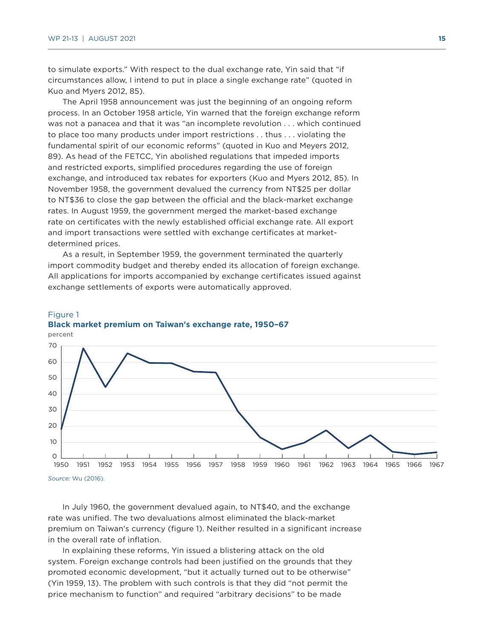to simulate exports." With respect to the dual exchange rate, Yin said that "if circumstances allow, I intend to put in place a single exchange rate" (quoted in Kuo and Myers 2012, 85).

The April 1958 announcement was just the beginning of an ongoing reform process. In an October 1958 article, Yin warned that the foreign exchange reform was not a panacea and that it was "an incomplete revolution . . . which continued to place too many products under import restrictions . . thus . . . violating the fundamental spirit of our economic reforms" (quoted in Kuo and Meyers 2012, 89). As head of the FETCC, Yin abolished regulations that impeded imports and restricted exports, simplified procedures regarding the use of foreign exchange, and introduced tax rebates for exporters (Kuo and Myers 2012, 85). In November 1958, the government devalued the currency from NT\$25 per dollar to NT\$36 to close the gap between the official and the black-market exchange rates. In August 1959, the government merged the market-based exchange rate on certificates with the newly established official exchange rate. All export and import transactions were settled with exchange certificates at marketdetermined prices.

As a result, in September 1959, the government terminated the quarterly import commodity budget and thereby ended its allocation of foreign exchange. All applications for imports accompanied by exchange certificates issued against exchange settlements of exports were automatically approved.



#### Figure 1 **Black market premium on Taiwan's exchange rate, 1950–67**

In July 1960, the government devalued again, to NT\$40, and the exchange rate was unified. The two devaluations almost eliminated the black-market premium on Taiwan's currency (figure 1). Neither resulted in a significant increase in the overall rate of inflation.

In explaining these reforms, Yin issued a blistering attack on the old system. Foreign exchange controls had been justified on the grounds that they promoted economic development, "but it actually turned out to be otherwise" (Yin 1959, 13). The problem with such controls is that they did "not permit the price mechanism to function" and required "arbitrary decisions" to be made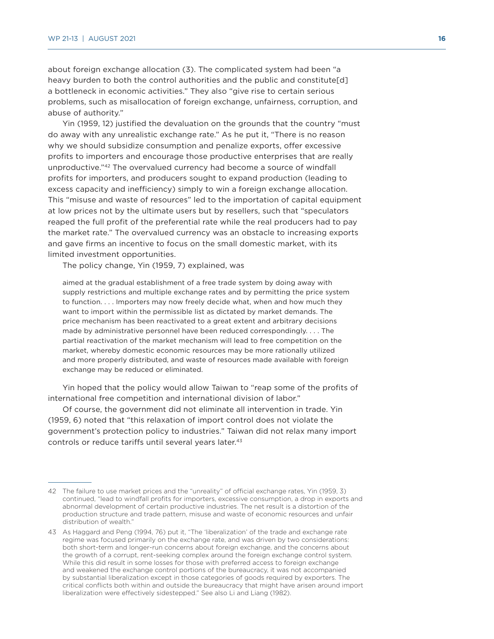about foreign exchange allocation (3). The complicated system had been "a heavy burden to both the control authorities and the public and constitute[d] a bottleneck in economic activities." They also "give rise to certain serious problems, such as misallocation of foreign exchange, unfairness, corruption, and abuse of authority."

Yin (1959, 12) justified the devaluation on the grounds that the country "must do away with any unrealistic exchange rate." As he put it, "There is no reason why we should subsidize consumption and penalize exports, offer excessive profits to importers and encourage those productive enterprises that are really unproductive."42 The overvalued currency had become a source of windfall profits for importers, and producers sought to expand production (leading to excess capacity and inefficiency) simply to win a foreign exchange allocation. This "misuse and waste of resources" led to the importation of capital equipment at low prices not by the ultimate users but by resellers, such that "speculators reaped the full profit of the preferential rate while the real producers had to pay the market rate." The overvalued currency was an obstacle to increasing exports and gave firms an incentive to focus on the small domestic market, with its limited investment opportunities.

The policy change, Yin (1959, 7) explained, was

aimed at the gradual establishment of a free trade system by doing away with supply restrictions and multiple exchange rates and by permitting the price system to function. . . . Importers may now freely decide what, when and how much they want to import within the permissible list as dictated by market demands. The price mechanism has been reactivated to a great extent and arbitrary decisions made by administrative personnel have been reduced correspondingly. . . . The partial reactivation of the market mechanism will lead to free competition on the market, whereby domestic economic resources may be more rationally utilized and more properly distributed, and waste of resources made available with foreign exchange may be reduced or eliminated.

Yin hoped that the policy would allow Taiwan to "reap some of the profits of international free competition and international division of labor."

Of course, the government did not eliminate all intervention in trade. Yin (1959, 6) noted that "this relaxation of import control does not violate the government's protection policy to industries." Taiwan did not relax many import controls or reduce tariffs until several years later.<sup>43</sup>

<sup>42</sup> The failure to use market prices and the "unreality" of official exchange rates, Yin (1959, 3) continued, "lead to windfall profits for importers, excessive consumption, a drop in exports and abnormal development of certain productive industries. The net result is a distortion of the production structure and trade pattern, misuse and waste of economic resources and unfair distribution of wealth."

<sup>43</sup> As Haggard and Peng (1994, 76) put it, "The 'liberalization' of the trade and exchange rate regime was focused primarily on the exchange rate, and was driven by two considerations: both short-term and longer-run concerns about foreign exchange, and the concerns about the growth of a corrupt, rent-seeking complex around the foreign exchange control system. While this did result in some losses for those with preferred access to foreign exchange and weakened the exchange control portions of the bureaucracy, it was not accompanied by substantial liberalization except in those categories of goods required by exporters. The critical conflicts both within and outside the bureaucracy that might have arisen around import liberalization were effectively sidestepped." See also Li and Liang (1982).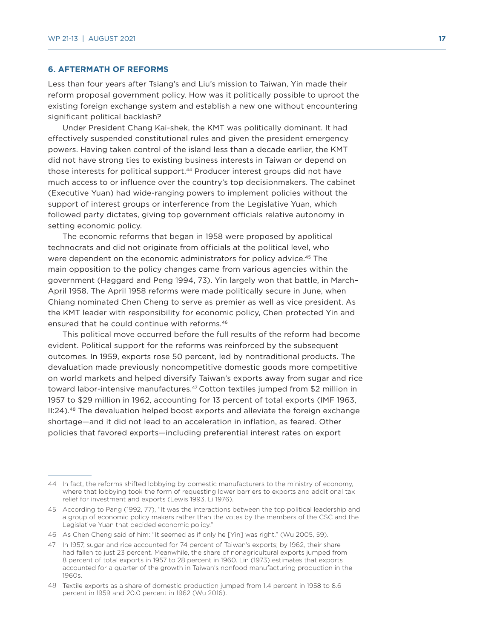#### **6. AFTERMATH OF REFORMS**

Less than four years after Tsiang's and Liu's mission to Taiwan, Yin made their reform proposal government policy. How was it politically possible to uproot the existing foreign exchange system and establish a new one without encountering significant political backlash?

Under President Chang Kai-shek, the KMT was politically dominant. It had effectively suspended constitutional rules and given the president emergency powers. Having taken control of the island less than a decade earlier, the KMT did not have strong ties to existing business interests in Taiwan or depend on those interests for political support.44 Producer interest groups did not have much access to or influence over the country's top decisionmakers. The cabinet (Executive Yuan) had wide-ranging powers to implement policies without the support of interest groups or interference from the Legislative Yuan, which followed party dictates, giving top government officials relative autonomy in setting economic policy.

The economic reforms that began in 1958 were proposed by apolitical technocrats and did not originate from officials at the political level, who were dependent on the economic administrators for policy advice.<sup>45</sup> The main opposition to the policy changes came from various agencies within the government (Haggard and Peng 1994, 73). Yin largely won that battle, in March– April 1958. The April 1958 reforms were made politically secure in June, when Chiang nominated Chen Cheng to serve as premier as well as vice president. As the KMT leader with responsibility for economic policy, Chen protected Yin and ensured that he could continue with reforms.46

This political move occurred before the full results of the reform had become evident. Political support for the reforms was reinforced by the subsequent outcomes. In 1959, exports rose 50 percent, led by nontraditional products. The devaluation made previously noncompetitive domestic goods more competitive on world markets and helped diversify Taiwan's exports away from sugar and rice toward labor-intensive manufactures.47 Cotton textiles jumped from \$2 million in 1957 to \$29 million in 1962, accounting for 13 percent of total exports (IMF 1963,  $II:24$ ).<sup>48</sup> The devaluation helped boost exports and alleviate the foreign exchange shortage—and it did not lead to an acceleration in inflation, as feared. Other policies that favored exports—including preferential interest rates on export

<sup>44</sup> In fact, the reforms shifted lobbying by domestic manufacturers to the ministry of economy, where that lobbying took the form of requesting lower barriers to exports and additional tax relief for investment and exports (Lewis 1993, Li 1976).

<sup>45</sup> According to Pang (1992, 77), "It was the interactions between the top political leadership and a group of economic policy makers rather than the votes by the members of the CSC and the Legislative Yuan that decided economic policy."

<sup>46</sup> As Chen Cheng said of him: "It seemed as if only he [Yin] was right." (Wu 2005, 59).

<sup>47</sup> In 1957, sugar and rice accounted for 74 percent of Taiwan's exports; by 1962, their share had fallen to just 23 percent. Meanwhile, the share of nonagricultural exports jumped from 8 percent of total exports in 1957 to 28 percent in 1960. Lin (1973) estimates that exports accounted for a quarter of the growth in Taiwan's nonfood manufacturing production in the 1960s.

<sup>48</sup> Textile exports as a share of domestic production jumped from 1.4 percent in 1958 to 8.6 percent in 1959 and 20.0 percent in 1962 (Wu 2016).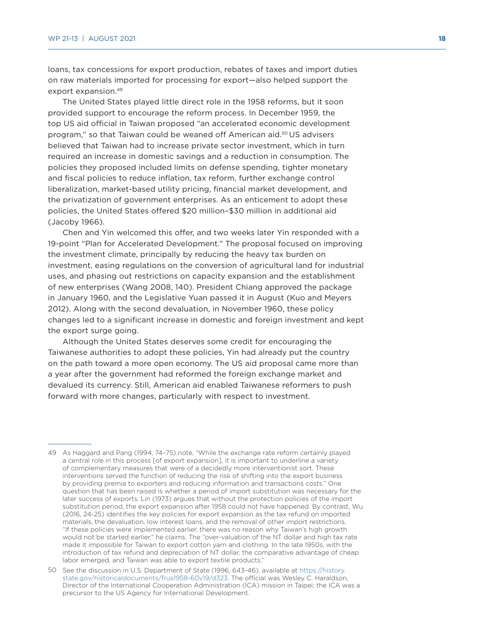loans, tax concessions for export production, rebates of taxes and import duties on raw materials imported for processing for export—also helped support the export expansion.49

The United States played little direct role in the 1958 reforms, but it soon provided support to encourage the reform process. In December 1959, the top US aid official in Taiwan proposed "an accelerated economic development program," so that Taiwan could be weaned off American aid.50 US advisers believed that Taiwan had to increase private sector investment, which in turn required an increase in domestic savings and a reduction in consumption. The policies they proposed included limits on defense spending, tighter monetary and fiscal policies to reduce inflation, tax reform, further exchange control liberalization, market-based utility pricing, financial market development, and the privatization of government enterprises. As an enticement to adopt these policies, the United States offered \$20 million–\$30 million in additional aid (Jacoby 1966).

Chen and Yin welcomed this offer, and two weeks later Yin responded with a 19-point "Plan for Accelerated Development." The proposal focused on improving the investment climate, principally by reducing the heavy tax burden on investment, easing regulations on the conversion of agricultural land for industrial uses, and phasing out restrictions on capacity expansion and the establishment of new enterprises (Wang 2008, 140). President Chiang approved the package in January 1960, and the Legislative Yuan passed it in August (Kuo and Meyers 2012). Along with the second devaluation, in November 1960, these policy changes led to a significant increase in domestic and foreign investment and kept the export surge going.

Although the United States deserves some credit for encouraging the Taiwanese authorities to adopt these policies, Yin had already put the country on the path toward a more open economy. The US aid proposal came more than a year after the government had reformed the foreign exchange market and devalued its currency. Still, American aid enabled Taiwanese reformers to push forward with more changes, particularly with respect to investment.

<sup>49</sup> As Haggard and Pang (1994, 74–75) note, "While the exchange rate reform certainly played a central role in this process [of export expansion], it is important to underline a variety of complementary measures that were of a decidedly more interventionist sort. These interventions served the function of reducing the risk of shifting into the export business by providing premia to exporters and reducing information and transactions costs." One question that has been raised is whether a period of import substitution was necessary for the later success of exports. Lin (1973) argues that without the protection policies of the import substitution period, the export expansion after 1958 could not have happened. By contrast, Wu (2016, 24-25) identifies the key policies for export expansion as the tax refund on imported materials, the devaluation, low interest loans, and the removal of other import restrictions. "If these policies were implemented earlier, there was no reason why Taiwan's high growth would not be started earlier," he claims. The "over-valuation of the NT dollar and high tax rate made it impossible for Taiwan to export cotton yarn and clothing. In the late 1950s, with the introduction of tax refund and depreciation of NT dollar, the comparative advantage of cheap labor emerged, and Taiwan was able to export textile products.'

<sup>50</sup> See the discussion in U.S. Department of State (1996, 643-46), available at [https://history.](https://history.state.gov/historicaldocuments/frus1958-60v19/d323) [state.gov/historicaldocuments/frus1958-60v19/d323](https://history.state.gov/historicaldocuments/frus1958-60v19/d323). The official was Wesley C. Haraldson, Director of the International Cooperation Administration (ICA) mission in Taipei; the ICA was a precursor to the US Agency for International Development.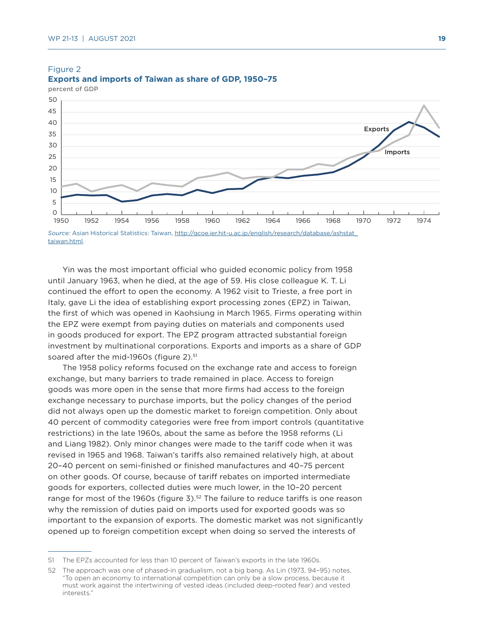

#### Figure 2 **Exports and imports of Taiwan as share of GDP, 1950–75**

[taiwan.html.](http://gcoe.ier.hit-u.ac.jp/english/research/database/ashstat_taiwan.html)

Yin was the most important official who guided economic policy from 1958 until January 1963, when he died, at the age of 59. His close colleague K. T. Li continued the effort to open the economy. A 1962 visit to Trieste, a free port in Italy, gave Li the idea of establishing export processing zones (EPZ) in Taiwan, the first of which was opened in Kaohsiung in March 1965. Firms operating within the EPZ were exempt from paying duties on materials and components used in goods produced for export. The EPZ program attracted substantial foreign investment by multinational corporations. Exports and imports as a share of GDP soared after the mid-1960s (figure 2).<sup>51</sup>

The 1958 policy reforms focused on the exchange rate and access to foreign exchange, but many barriers to trade remained in place. Access to foreign goods was more open in the sense that more firms had access to the foreign exchange necessary to purchase imports, but the policy changes of the period did not always open up the domestic market to foreign competition. Only about 40 percent of commodity categories were free from import controls (quantitative restrictions) in the late 1960s, about the same as before the 1958 reforms (Li and Liang 1982). Only minor changes were made to the tariff code when it was revised in 1965 and 1968. Taiwan's tariffs also remained relatively high, at about 20–40 percent on semi-finished or finished manufactures and 40–75 percent on other goods. Of course, because of tariff rebates on imported intermediate goods for exporters, collected duties were much lower, in the 10–20 percent range for most of the 1960s (figure 3).<sup>52</sup> The failure to reduce tariffs is one reason why the remission of duties paid on imports used for exported goods was so important to the expansion of exports. The domestic market was not significantly opened up to foreign competition except when doing so served the interests of

<sup>51</sup> The EPZs accounted for less than 10 percent of Taiwan's exports in the late 1960s.

<sup>52</sup> The approach was one of phased-in gradualism, not a big bang. As Lin (1973, 94–95) notes, "To open an economy to international competition can only be a slow process, because it must work against the intertwining of vested ideas (included deep-rooted fear) and vested interests."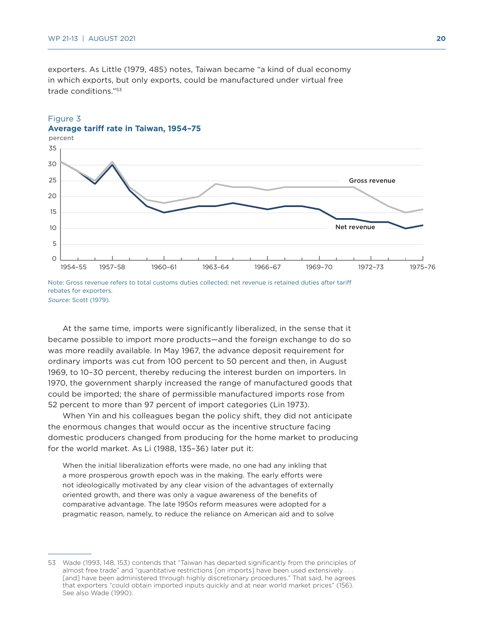25 30 35

percent

exporters. As Little (1979, 485) notes, Taiwan became "a kind of dual economy in which exports, but only exports, could be manufactured under virtual free trade conditions."53

#### Figure 3 **Average tariff rate in Taiwan, 1954–75**



rebates for exporters. *Source:* Scott (1979).

At the same time, imports were significantly liberalized, in the sense that it became possible to import more products—and the foreign exchange to do so was more readily available. In May 1967, the advance deposit requirement for ordinary imports was cut from 100 percent to 50 percent and then, in August 1969, to 10–30 percent, thereby reducing the interest burden on importers. In 1970, the government sharply increased the range of manufactured goods that could be imported; the share of permissible manufactured imports rose from 52 percent to more than 97 percent of import categories (Lin 1973).

When Yin and his colleagues began the policy shift, they did not anticipate the enormous changes that would occur as the incentive structure facing domestic producers changed from producing for the home market to producing for the world market. As Li (1988, 135–36) later put it:

When the initial liberalization efforts were made, no one had any inkling that a more prosperous growth epoch was in the making. The early efforts were not ideologically motivated by any clear vision of the advantages of externally oriented growth, and there was only a vague awareness of the benefits of comparative advantage. The late 1950s reform measures were adopted for a pragmatic reason, namely, to reduce the reliance on American aid and to solve

<sup>53</sup> Wade (1993, 148, 153) contends that "Taiwan has departed significantly from the principles of almost free trade" and "quantitative restrictions [on imports] have been used extensively . . . [and] have been administered through highly discretionary procedures." That said, he agrees that exporters "could obtain imported inputs quickly and at near world market prices" (156). See also Wade (1990).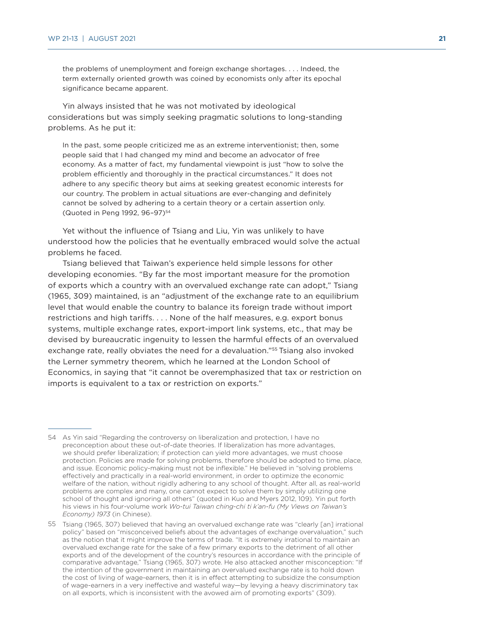the problems of unemployment and foreign exchange shortages. . . . Indeed, the term externally oriented growth was coined by economists only after its epochal significance became apparent.

Yin always insisted that he was not motivated by ideological considerations but was simply seeking pragmatic solutions to long-standing problems. As he put it:

In the past, some people criticized me as an extreme interventionist; then, some people said that I had changed my mind and become an advocator of free economy. As a matter of fact, my fundamental viewpoint is just "how to solve the problem efficiently and thoroughly in the practical circumstances." It does not adhere to any specific theory but aims at seeking greatest economic interests for our country. The problem in actual situations are ever-changing and definitely cannot be solved by adhering to a certain theory or a certain assertion only. (Quoted in Peng 1992, 96-97)<sup>54</sup>

Yet without the influence of Tsiang and Liu, Yin was unlikely to have understood how the policies that he eventually embraced would solve the actual problems he faced.

Tsiang believed that Taiwan's experience held simple lessons for other developing economies. "By far the most important measure for the promotion of exports which a country with an overvalued exchange rate can adopt," Tsiang (1965, 309) maintained, is an "adjustment of the exchange rate to an equilibrium level that would enable the country to balance its foreign trade without import restrictions and high tariffs. . . . None of the half measures, e.g. export bonus systems, multiple exchange rates, export-import link systems, etc., that may be devised by bureaucratic ingenuity to lessen the harmful effects of an overvalued exchange rate, really obviates the need for a devaluation."<sup>55</sup> Tsiang also invoked the Lerner symmetry theorem, which he learned at the London School of Economics, in saying that "it cannot be overemphasized that tax or restriction on imports is equivalent to a tax or restriction on exports."

<sup>54</sup> As Yin said "Regarding the controversy on liberalization and protection, I have no preconception about these out-of-date theories. If liberalization has more advantages, we should prefer liberalization; if protection can yield more advantages, we must choose protection. Policies are made for solving problems, therefore should be adopted to time, place, and issue. Economic policy-making must not be inflexible." He believed in "solving problems effectively and practically in a real-world environment, in order to optimize the economic welfare of the nation, without rigidly adhering to any school of thought. After all, as real-world problems are complex and many, one cannot expect to solve them by simply utilizing one school of thought and ignoring all others" (quoted in Kuo and Myers 2012, 109). Yin put forth his views in his four-volume work *Wo-tui Taiwan ching-chi ti k'an-fu (My Views on Taiwan's Economy) 1973* (in Chinese).

<sup>55</sup> Tsiang (1965, 307) believed that having an overvalued exchange rate was "clearly [an] irrational policy" based on "misconceived beliefs about the advantages of exchange overvaluation," such as the notion that it might improve the terms of trade. "It is extremely irrational to maintain an overvalued exchange rate for the sake of a few primary exports to the detriment of all other exports and of the development of the country's resources in accordance with the principle of comparative advantage," Tsiang (1965, 307) wrote. He also attacked another misconception: "If the intention of the government in maintaining an overvalued exchange rate is to hold down the cost of living of wage-earners, then it is in effect attempting to subsidize the consumption of wage-earners in a very ineffective and wasteful way—by levying a heavy discriminatory tax on all exports, which is inconsistent with the avowed aim of promoting exports" (309).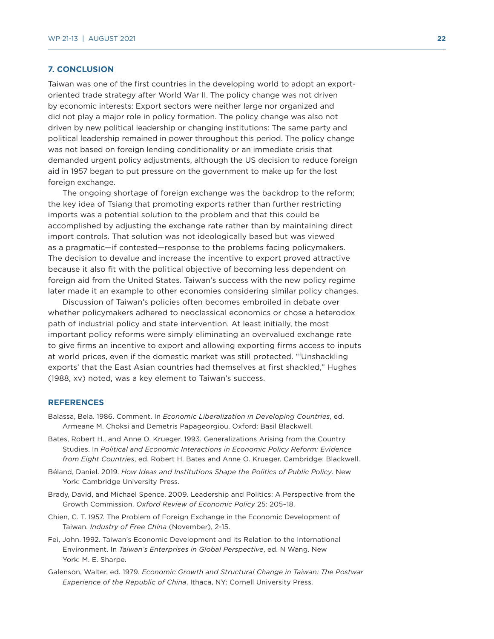#### **7. CONCLUSION**

Taiwan was one of the first countries in the developing world to adopt an exportoriented trade strategy after World War II. The policy change was not driven by economic interests: Export sectors were neither large nor organized and did not play a major role in policy formation. The policy change was also not driven by new political leadership or changing institutions: The same party and political leadership remained in power throughout this period. The policy change was not based on foreign lending conditionality or an immediate crisis that demanded urgent policy adjustments, although the US decision to reduce foreign aid in 1957 began to put pressure on the government to make up for the lost foreign exchange.

The ongoing shortage of foreign exchange was the backdrop to the reform; the key idea of Tsiang that promoting exports rather than further restricting imports was a potential solution to the problem and that this could be accomplished by adjusting the exchange rate rather than by maintaining direct import controls. That solution was not ideologically based but was viewed as a pragmatic—if contested—response to the problems facing policymakers. The decision to devalue and increase the incentive to export proved attractive because it also fit with the political objective of becoming less dependent on foreign aid from the United States. Taiwan's success with the new policy regime later made it an example to other economies considering similar policy changes.

Discussion of Taiwan's policies often becomes embroiled in debate over whether policymakers adhered to neoclassical economics or chose a heterodox path of industrial policy and state intervention. At least initially, the most important policy reforms were simply eliminating an overvalued exchange rate to give firms an incentive to export and allowing exporting firms access to inputs at world prices, even if the domestic market was still protected. "'Unshackling exports' that the East Asian countries had themselves at first shackled," Hughes (1988, xv) noted, was a key element to Taiwan's success.

#### **REFERENCES**

- Balassa, Bela. 1986. Comment. In *Economic Liberalization in Developing Countries*, ed. Armeane M. Choksi and Demetris Papageorgiou. Oxford: Basil Blackwell.
- Bates, Robert H., and Anne O. Krueger. 1993. Generalizations Arising from the Country Studies. In *Political and Economic Interactions in Economic Policy Reform: Evidence from Eight Countries*, ed. Robert H. Bates and Anne O. Krueger. Cambridge: Blackwell.
- Béland, Daniel. 2019. *How Ideas and Institutions Shape the Politics of Public Policy*. New York: Cambridge University Press.
- Brady, David, and Michael Spence. 2009. Leadership and Politics: A Perspective from the Growth Commission. *Oxford Review of Economic Policy* 25: 205–18.
- Chien, C. T. 1957. The Problem of Foreign Exchange in the Economic Development of Taiwan. *Industry of Free China* (November), 2-15.
- Fei, John. 1992. Taiwan's Economic Development and its Relation to the International Environment. In *Taiwan's Enterprises in Global Perspective*, ed. N Wang. New York: M. E. Sharpe.
- Galenson, Walter, ed. 1979. *Economic Growth and Structural Change in Taiwan: The Postwar Experience of the Republic of China*. Ithaca, NY: Cornell University Press.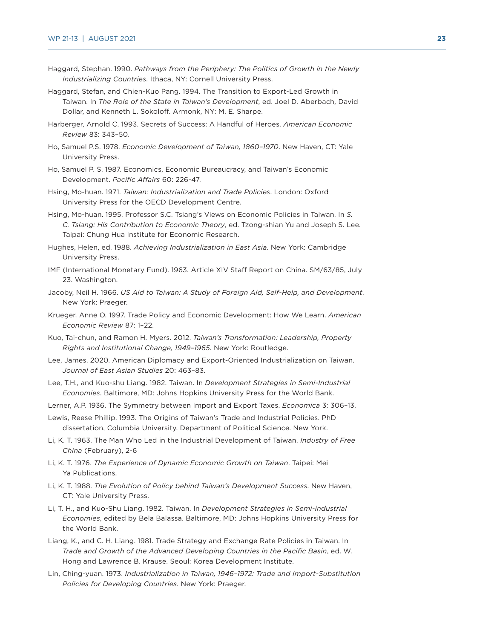- Haggard, Stephan. 1990. *Pathways from the Periphery: The Politics of Growth in the Newly Industrializing Countries*. Ithaca, NY: Cornell University Press.
- Haggard, Stefan, and Chien-Kuo Pang. 1994. The Transition to Export-Led Growth in Taiwan. In *The Role of the State in Taiwan's Development*, ed. Joel D. Aberbach, David Dollar, and Kenneth L. Sokoloff. Armonk, NY: M. E. Sharpe.
- Harberger, Arnold C. 1993. Secrets of Success: A Handful of Heroes. *American Economic Review* 83: 343–50.
- Ho, Samuel P.S. 1978. *Economic Development of Taiwan, 1860–1970*. New Haven, CT: Yale University Press.
- Ho, Samuel P. S. 1987. Economics, Economic Bureaucracy, and Taiwan's Economic Development. *Pacific Affairs* 60: 226-47.
- Hsing, Mo-huan. 1971. *Taiwan: Industrialization and Trade Policies*. London: Oxford University Press for the OECD Development Centre.
- Hsing, Mo-huan. 1995. Professor S.C. Tsiang's Views on Economic Policies in Taiwan. In *S. C. Tsiang: His Contribution to Economic Theory*, ed. Tzong-shian Yu and Joseph S. Lee. Taipai: Chung Hua Institute for Economic Research.
- Hughes, Helen, ed. 1988. *Achieving Industrialization in East Asia*. New York: Cambridge University Press.
- IMF (International Monetary Fund). 1963. Article XIV Staff Report on China. SM/63/85, July 23. Washington.
- Jacoby, Neil H. 1966. *US Aid to Taiwan: A Study of Foreign Aid, Self-Help, and Development*. New York: Praeger.
- Krueger, Anne O. 1997. Trade Policy and Economic Development: How We Learn. *American Economic Review* 87: 1–22.
- Kuo, Tai-chun, and Ramon H. Myers. 2012. *Taiwan's Transformation: Leadership, Property Rights and Institutional Change, 1949–1965*. New York: Routledge.
- Lee, James. 2020. American Diplomacy and Export-Oriented Industrialization on Taiwan. *Journal of East Asian Studies* 20: 463–83.
- Lee, T.H., and Kuo-shu Liang. 1982. Taiwan. In *Development Strategies in Semi-Industrial Economies*. Baltimore, MD: Johns Hopkins University Press for the World Bank.
- Lerner, A.P. 1936. The Symmetry between Import and Export Taxes. *Economica* 3: 306–13.
- Lewis, Reese Phillip. 1993. The Origins of Taiwan's Trade and Industrial Policies. PhD dissertation, Columbia University, Department of Political Science. New York.
- Li, K. T. 1963. The Man Who Led in the Industrial Development of Taiwan. *Industry of Free China* (February), 2-6
- Li, K. T. 1976. *The Experience of Dynamic Economic Growth on Taiwan*. Taipei: Mei Ya Publications.
- Li, K. T. 1988. *The Evolution of Policy behind Taiwan's Development Success*. New Haven, CT: Yale University Press.
- Li, T. H., and Kuo-Shu Liang. 1982. Taiwan. In *Development Strategies in Semi-industrial Economies*, edited by Bela Balassa. Baltimore, MD: Johns Hopkins University Press for the World Bank.
- Liang, K., and C. H. Liang. 1981. Trade Strategy and Exchange Rate Policies in Taiwan. In *Trade and Growth of the Advanced Developing Countries in the Pacific Basin*, ed. W. Hong and Lawrence B. Krause. Seoul: Korea Development Institute.
- Lin, Ching-yuan. 1973. *Industrialization in Taiwan, 1946–1972: Trade and Import-Substitution Policies for Developing Countries*. New York: Praeger.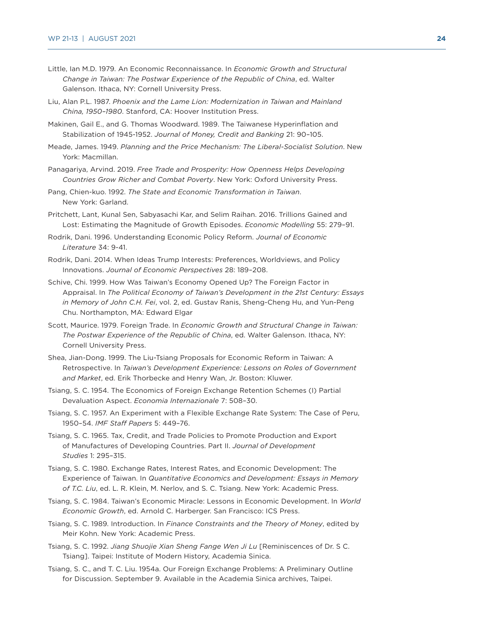- Little, Ian M.D. 1979. An Economic Reconnaissance. In *Economic Growth and Structural Change in Taiwan: The Postwar Experience of the Republic of China*, ed. Walter Galenson. Ithaca, NY: Cornell University Press.
- Liu, Alan P.L. 1987. *Phoenix and the Lame Lion: Modernization in Taiwan and Mainland China, 1950–1980*. Stanford, CA: Hoover Institution Press.
- Makinen, Gail E., and G. Thomas Woodward. 1989. The Taiwanese Hyperinflation and Stabilization of 1945-1952. *Journal of Money, Credit and Banking* 21: 90–105.
- Meade, James. 1949. *Planning and the Price Mechanism: The Liberal-Socialist Solution*. New York: Macmillan.
- Panagariya, Arvind. 2019. *Free Trade and Prosperity: How Openness Helps Developing Countries Grow Richer and Combat Poverty*. New York: Oxford University Press.
- Pang, Chien-kuo. 1992. *The State and Economic Transformation in Taiwan*. New York: Garland.
- Pritchett, Lant, Kunal Sen, Sabyasachi Kar, and Selim Raihan. 2016. Trillions Gained and Lost: Estimating the Magnitude of Growth Episodes. *Economic Modelling* 55: 279–91.
- Rodrik, Dani. 1996. Understanding Economic Policy Reform. *Journal of Economic Literature* 34: 9-41.
- Rodrik, Dani. 2014. When Ideas Trump Interests: Preferences, Worldviews, and Policy Innovations. *Journal of Economic Perspectives* 28: 189–208.
- Schive, Chi. 1999. How Was Taiwan's Economy Opened Up? The Foreign Factor in Appraisal. In *The Political Economy of Taiwan's Development in the 21st Century: Essays in Memory of John C.H. Fei*, vol. 2, ed. Gustav Ranis, Sheng-Cheng Hu, and Yun-Peng Chu. Northampton, MA: Edward Elgar
- Scott, Maurice. 1979. Foreign Trade. In *Economic Growth and Structural Change in Taiwan: The Postwar Experience of the Republic of China*, ed. Walter Galenson. Ithaca, NY: Cornell University Press.
- Shea, Jian-Dong. 1999. The Liu-Tsiang Proposals for Economic Reform in Taiwan: A Retrospective. In *Taiwan's Development Experience: Lessons on Roles of Government and Market*, ed. Erik Thorbecke and Henry Wan, Jr. Boston: Kluwer.
- Tsiang, S. C. 1954. The Economics of Foreign Exchange Retention Schemes (I) Partial Devaluation Aspect. *Economia Internazionale* 7: 508–30.
- Tsiang, S. C. 1957. An Experiment with a Flexible Exchange Rate System: The Case of Peru, 1950–54. *IMF Staff Papers* 5: 449–76.
- Tsiang, S. C. 1965. Tax, Credit, and Trade Policies to Promote Production and Export of Manufactures of Developing Countries. Part II. *Journal of Development Studies* 1: 295–315.
- Tsiang, S. C. 1980. Exchange Rates, Interest Rates, and Economic Development: The Experience of Taiwan. In *Quantitative Economics and Development: Essays in Memory of T.C. Liu*, ed. L. R. Klein, M. Nerlov, and S. C. Tsiang. New York: Academic Press.
- Tsiang, S. C. 1984. Taiwan's Economic Miracle: Lessons in Economic Development. In *World Economic Growth*, ed. Arnold C. Harberger. San Francisco: ICS Press.
- Tsiang, S. C. 1989. Introduction. In *Finance Constraints and the Theory of Money*, edited by Meir Kohn. New York: Academic Press.
- Tsiang, S. C. 1992. *Jiang Shuojie Xian Sheng Fange Wen Ji Lu* [Reminiscences of Dr. S C. Tsiang]. Taipei: Institute of Modern History, Academia Sinica.
- Tsiang, S. C., and T. C. Liu. 1954a. Our Foreign Exchange Problems: A Preliminary Outline for Discussion. September 9. Available in the Academia Sinica archives, Taipei.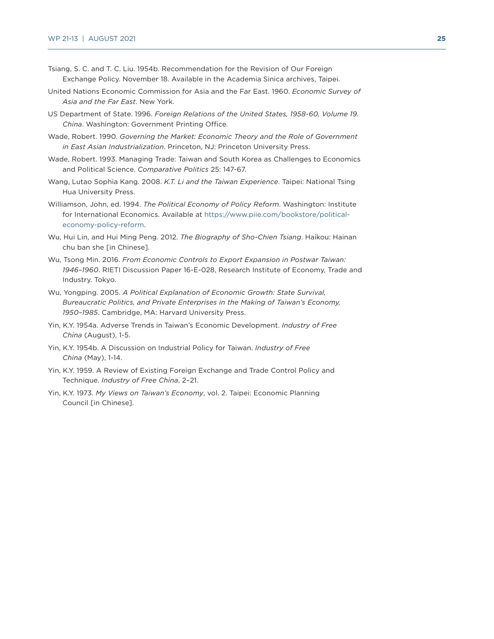- Tsiang, S. C. and T. C. Liu. 1954b. Recommendation for the Revision of Our Foreign Exchange Policy. November 18. Available in the Academia Sinica archives, Taipei.
- United Nations Economic Commission for Asia and the Far East. 1960. *Economic Survey of Asia and the Far East*. New York.
- US Department of State. 1996. *Foreign Relations of the United States, 1958-60, Volume 19. China*. Washington: Government Printing Office.
- Wade, Robert. 1990. *Governing the Market: Economic Theory and the Role of Government in East Asian Industrialization*. Princeton, NJ: Princeton University Press.
- Wade, Robert. 1993. Managing Trade: Taiwan and South Korea as Challenges to Economics and Political Science. *Comparative Politics* 25: 147-67.
- Wang, Lutao Sophia Kang. 2008. *K.T. Li and the Taiwan Experience*. Taipei: National Tsing Hua University Press.
- Williamson, John, ed. 1994. *The Political Economy of Policy Reform*. Washington: Institute for International Economics. Available at [https://www.piie.com/bookstore/political](https://www.piie.com/bookstore/political-economy-policy-reform)[economy-policy-reform.](https://www.piie.com/bookstore/political-economy-policy-reform)
- Wu, Hui Lin, and Hui Ming Peng. 2012. *The Biography of Sho-Chien Tsiang*. Haikou: Hainan chu ban she [in Chinese].
- Wu, Tsong Min. 2016. *From Economic Controls to Export Expansion in Postwar Taiwan: 1946–1960*. RIETI Discussion Paper 16-E-028, Research Institute of Economy, Trade and Industry. Tokyo.
- Wu, Yongping. 2005. *A Political Explanation of Economic Growth: State Survival, Bureaucratic Politics, and Private Enterprises in the Making of Taiwan's Economy, 1950–1985*. Cambridge, MA: Harvard University Press.
- Yin, K.Y. 1954a. Adverse Trends in Taiwan's Economic Development. *Industry of Free China* (August), 1-5.
- Yin, K.Y. 1954b. A Discussion on Industrial Policy for Taiwan. *Industry of Free China* (May), 1-14.
- Yin, K.Y. 1959. A Review of Existing Foreign Exchange and Trade Control Policy and Technique. *Industry of Free China*, 2–21.
- Yin, K.Y. 1973. *My Views on Taiwan's Economy*, vol. 2. Taipei: Economic Planning Council [in Chinese].